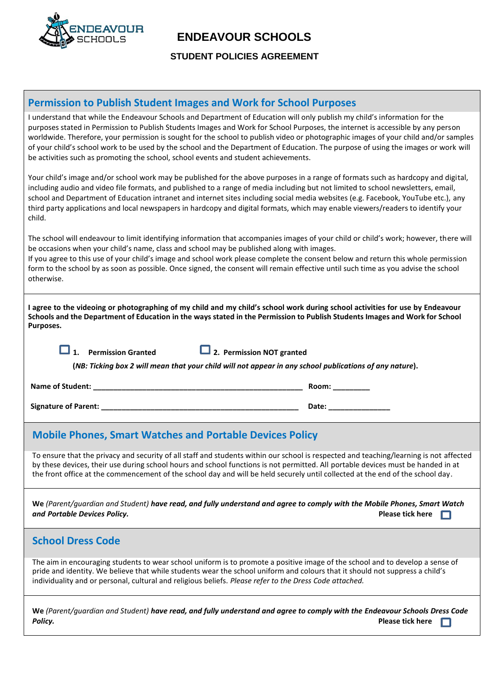

### **ENDEAVOUR SCHOOLS**

 **STUDENT POLICIES AGREEMENT**

#### **Permission to Publish Student Images and Work for School Purposes**

I understand that while the Endeavour Schools and Department of Education will only publish my child's information for the purposes stated in Permission to Publish Students Images and Work for School Purposes, the internet is accessible by any person worldwide. Therefore, your permission is sought for the school to publish video or photographic images of your child and/or samples of your child's school work to be used by the school and the Department of Education. The purpose of using the images or work will be activities such as promoting the school, school events and student achievements.

Your child's image and/or school work may be published for the above purposes in a range of formats such as hardcopy and digital, including audio and video file formats, and published to a range of media including but not limited to school newsletters, email, school and Department of Education intranet and internet sites including social media websites (e.g. Facebook, YouTube etc.), any third party applications and local newspapers in hardcopy and digital formats, which may enable viewers/readers to identify your child.

The school will endeavour to limit identifying information that accompanies images of your child or child's work; however, there will be occasions when your child's name, class and school may be published along with images.

If you agree to this use of your child's image and school work please complete the consent below and return this whole permission form to the school by as soon as possible. Once signed, the consent will remain effective until such time as you advise the school otherwise.

| I agree to the videoing or photographing of my child and my child's school work during school activities for use by Endeavour |
|-------------------------------------------------------------------------------------------------------------------------------|
| Schools and the Department of Education in the ways stated in the Permission to Publish Students Images and Work for School   |
| Purposes.                                                                                                                     |

**1. Permission Granted 2. Permission NOT granted**

**(***NB: Ticking box 2 will mean that your child will not appear in any school publications of any nature***).**

**Name of Student:**  $\blacksquare$ 

**Signature of Parent: \_\_\_\_\_\_\_\_\_\_\_\_\_\_\_\_\_\_\_\_\_\_\_\_\_\_\_\_\_\_\_\_\_\_\_\_\_\_\_\_\_\_\_\_\_\_\_\_ Date: \_\_\_\_\_\_\_\_\_\_\_\_\_\_\_**

#### **Mobile Phones, Smart Watches and Portable Devices Policy**

To ensure that the privacy and security of all staff and students within our school is respected and teaching/learning is not affected by these devices, their use during school hours and school functions is not permitted. All portable devices must be handed in at the front office at the commencement of the school day and will be held securely until collected at the end of the school day.

**We** *(Parent/guardian and Student) have read, and fully understand and agree to comply with the Mobile Phones, Smart Watch* 

# *and Portable Devices Policy.* **Please tick here School Dress Code** The aim in encouraging students to wear school uniform is to promote a positive image of the school and to develop a sense of pride and identity. We believe that while students wear the school uniform and colours that it should not suppress a child's individuality and or personal, cultural and religious beliefs. *Please refer to the Dress Code attached.* **We** *(Parent/guardian and Student) have read, and fully understand and agree to comply with the Endeavour Schools Dress Code* **Policy. Policy. Please tick here Please tick here Please tick here Please tick here**